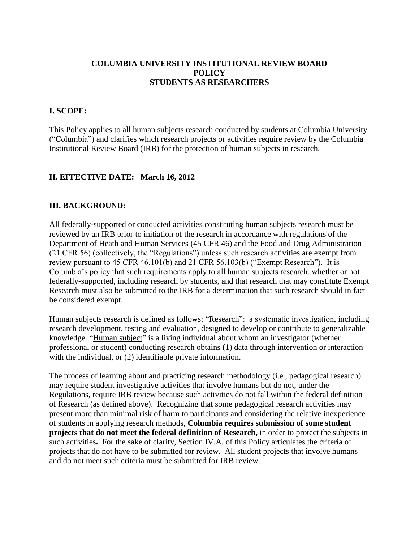### **COLUMBIA UNIVERSITY INSTITUTIONAL REVIEW BOARD POLICY STUDENTS AS RESEARCHERS**

#### **I. SCOPE:**

This Policy applies to all human subjects research conducted by students at Columbia University ("Columbia") and clarifies which research projects or activities require review by the Columbia Institutional Review Board (IRB) for the protection of human subjects in research.

#### **II. EFFECTIVE DATE: March 16, 2012**

#### **III. BACKGROUND:**

All federally-supported or conducted activities constituting human subjects research must be reviewed by an IRB prior to initiation of the research in accordance with regulations of the Department of Heath and Human Services (45 CFR 46) and the Food and Drug Administration (21 CFR 56) (collectively, the "Regulations") unless such research activities are exempt from review pursuant to 45 CFR 46.101(b) and 21 CFR 56.103(b) ("Exempt Research"). It is Columbia's policy that such requirements apply to all human subjects research, whether or not federally-supported, including research by students, and that research that may constitute Exempt Research must also be submitted to the IRB for a determination that such research should in fact be considered exempt.

Human subjects research is defined as follows: "Research": a systematic investigation, including research development, testing and evaluation, designed to develop or contribute to generalizable knowledge. "Human subject" is a living individual about whom an investigator (whether professional or student) conducting research obtains (1) data through intervention or interaction with the individual, or  $(2)$  identifiable private information.

The process of learning about and practicing research methodology (i.e., pedagogical research) may require student investigative activities that involve humans but do not, under the Regulations, require IRB review because such activities do not fall within the federal definition of Research (as defined above). Recognizing that some pedagogical research activities may present more than minimal risk of harm to participants and considering the relative inexperience of students in applying research methods, **Columbia requires submission of some student projects that do not meet the federal definition of Research,** in order to protect the subjects in such activities**.** For the sake of clarity, Section IV.A. of this Policy articulates the criteria of projects that do not have to be submitted for review. All student projects that involve humans and do not meet such criteria must be submitted for IRB review.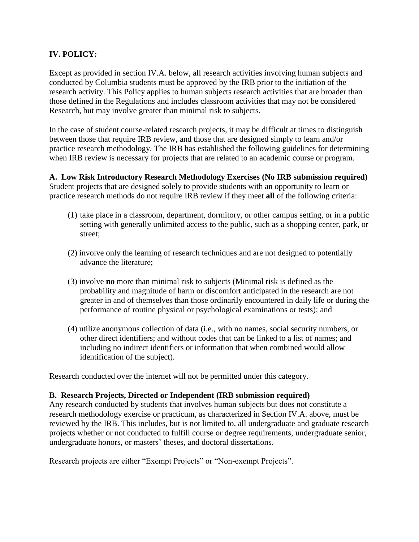# **IV. POLICY:**

Except as provided in section IV.A. below, all research activities involving human subjects and conducted by Columbia students must be approved by the IRB prior to the initiation of the research activity. This Policy applies to human subjects research activities that are broader than those defined in the Regulations and includes classroom activities that may not be considered Research, but may involve greater than minimal risk to subjects.

In the case of student course-related research projects, it may be difficult at times to distinguish between those that require IRB review, and those that are designed simply to learn and/or practice research methodology. The IRB has established the following guidelines for determining when IRB review is necessary for projects that are related to an academic course or program.

# **A. Low Risk Introductory Research Methodology Exercises (No IRB submission required)**

Student projects that are designed solely to provide students with an opportunity to learn or practice research methods do not require IRB review if they meet **all** of the following criteria:

- (1) take place in a classroom, department, dormitory, or other campus setting, or in a public setting with generally unlimited access to the public, such as a shopping center, park, or street;
- (2) involve only the learning of research techniques and are not designed to potentially advance the literature;
- (3) involve **no** more than minimal risk to subjects (Minimal risk is defined as the probability and magnitude of harm or discomfort anticipated in the research are not greater in and of themselves than those ordinarily encountered in daily life or during the performance of routine physical or psychological examinations or tests); and
- (4) utilize anonymous collection of data (i.e., with no names, social security numbers, or other direct identifiers; and without codes that can be linked to a list of names; and including no indirect identifiers or information that when combined would allow identification of the subject).

Research conducted over the internet will not be permitted under this category.

#### **B. Research Projects, Directed or Independent (IRB submission required)**

Any research conducted by students that involves human subjects but does not constitute a research methodology exercise or practicum, as characterized in Section IV.A. above, must be reviewed by the IRB. This includes, but is not limited to, all undergraduate and graduate research projects whether or not conducted to fulfill course or degree requirements, undergraduate senior, undergraduate honors, or masters' theses, and doctoral dissertations.

Research projects are either "Exempt Projects" or "Non-exempt Projects".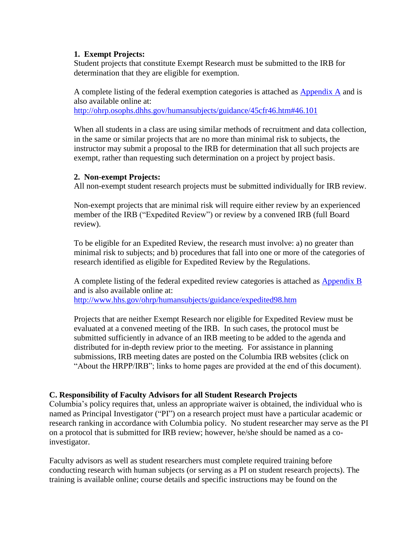#### **1. Exempt Projects:**

Student projects that constitute Exempt Research must be submitted to the IRB for determination that they are eligible for exemption.

A complete listing of the federal exemption categories is attached as Appendix A and is also available online at:

<http://ohrp.osophs.dhhs.gov/humansubjects/guidance/45cfr46.htm#46.101>

When all students in a class are using similar methods of recruitment and data collection, in the same or similar projects that are no more than minimal risk to subjects, the instructor may submit a proposal to the IRB for determination that all such projects are exempt, rather than requesting such determination on a project by project basis.

#### **2. Non-exempt Projects:**

All non-exempt student research projects must be submitted individually for IRB review.

Non-exempt projects that are minimal risk will require either review by an experienced member of the IRB ("Expedited Review") or review by a convened IRB (full Board review).

To be eligible for an Expedited Review, the research must involve: a) no greater than minimal risk to subjects; and b) procedures that fall into one or more of the categories of research identified as eligible for Expedited Review by the Regulations.

A complete listing of the federal expedited review categories is attached as Appendix B and is also available online at:

<http://www.hhs.gov/ohrp/humansubjects/guidance/expedited98.htm>

Projects that are neither Exempt Research nor eligible for Expedited Review must be evaluated at a convened meeting of the IRB. In such cases, the protocol must be submitted sufficiently in advance of an IRB meeting to be added to the agenda and distributed for in-depth review prior to the meeting. For assistance in planning submissions, IRB meeting dates are posted on the Columbia IRB websites (click on "About the HRPP/IRB"; links to home pages are provided at the end of this document).

## **C. Responsibility of Faculty Advisors for all Student Research Projects**

Columbia's policy requires that, unless an appropriate waiver is obtained, the individual who is named as Principal Investigator ("PI") on a research project must have a particular academic or research ranking in accordance with Columbia policy. No student researcher may serve as the PI on a protocol that is submitted for IRB review; however, he/she should be named as a coinvestigator.

Faculty advisors as well as student researchers must complete required training before conducting research with human subjects (or serving as a PI on student research projects). The training is available online; course details and specific instructions may be found on the